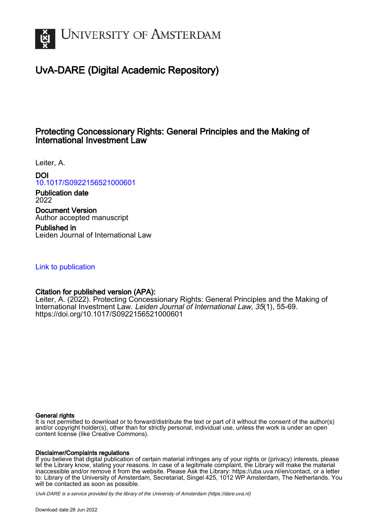

# UvA-DARE (Digital Academic Repository)

# Protecting Concessionary Rights: General Principles and the Making of International Investment Law

Leiter, A.

DOI [10.1017/S0922156521000601](https://doi.org/10.1017/S0922156521000601)

Publication date 2022

Document Version Author accepted manuscript

Published in Leiden Journal of International Law

[Link to publication](https://dare.uva.nl/personal/pure/en/publications/protecting-concessionary-rights-general-principles-and-the-making-of-international-investment-law(0d6cb4df-ad3c-4da8-965f-88e13cb966d5).html)

# Citation for published version (APA):

Leiter, A. (2022). Protecting Concessionary Rights: General Principles and the Making of International Investment Law. Leiden Journal of International Law, 35(1), 55-69. <https://doi.org/10.1017/S0922156521000601>

#### General rights

It is not permitted to download or to forward/distribute the text or part of it without the consent of the author(s) and/or copyright holder(s), other than for strictly personal, individual use, unless the work is under an open content license (like Creative Commons).

#### Disclaimer/Complaints regulations

If you believe that digital publication of certain material infringes any of your rights or (privacy) interests, please let the Library know, stating your reasons. In case of a legitimate complaint, the Library will make the material inaccessible and/or remove it from the website. Please Ask the Library: https://uba.uva.nl/en/contact, or a letter to: Library of the University of Amsterdam, Secretariat, Singel 425, 1012 WP Amsterdam, The Netherlands. You will be contacted as soon as possible.

UvA-DARE is a service provided by the library of the University of Amsterdam (http*s*://dare.uva.nl)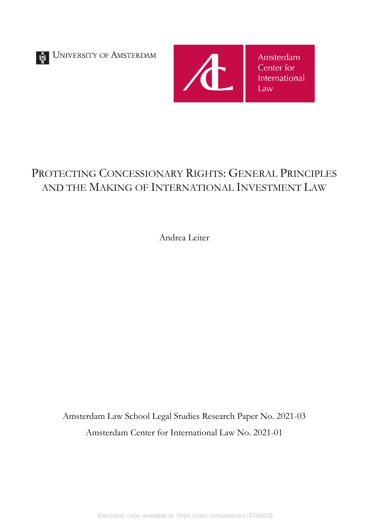



# PROTECTING CONCESSIONARY RIGHTS: GENERAL PRINCIPLES AND THE MAKING OF INTERNATIONAL INVESTMENT LAW

Andrea Leiter

Amsterdam Law School Legal Studies Research Paper No. 2021-03 Amsterdam Center for International Law No. 2021-01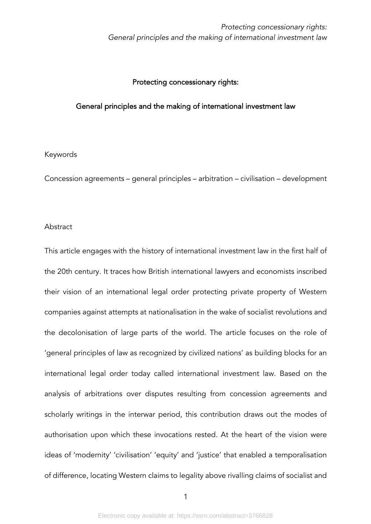# Protecting concessionary rights:

# General principles and the making of international investment law

#### Keywords

Concession agreements – general principles – arbitration – civilisation – development

#### **Abstract**

This article engages with the history of international investment law in the first half of the 20th century. It traces how British international lawyers and economists inscribed their vision of an international legal order protecting private property of Western companies against attempts at nationalisation in the wake of socialist revolutions and the decolonisation of large parts of the world. The article focuses on the role of 'general principles of law as recognized by civilized nations' as building blocks for an international legal order today called international investment law. Based on the analysis of arbitrations over disputes resulting from concession agreements and scholarly writings in the interwar period, this contribution draws out the modes of authorisation upon which these invocations rested. At the heart of the vision were ideas of 'modernity' 'civilisation' 'equity' and 'justice' that enabled a temporalisation of difference, locating Western claims to legality above rivalling claims of socialist and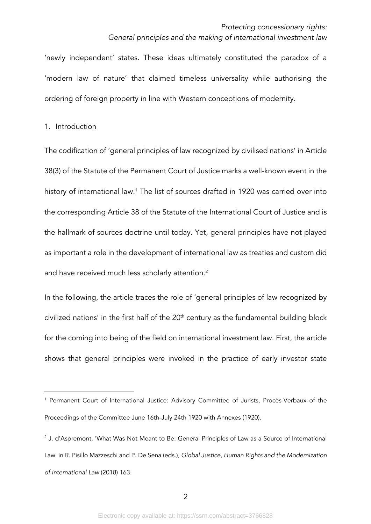'newly independent' states. These ideas ultimately constituted the paradox of a 'modern law of nature' that claimed timeless universality while authorising the ordering of foreign property in line with Western conceptions of modernity.

1. Introduction

The codification of 'general principles of law recognized by civilised nations' in Article 38(3) of the Statute of the Permanent Court of Justice marks a well-known event in the history of international law.<sup>1</sup> The list of sources drafted in 1920 was carried over into the corresponding Article 38 of the Statute of the International Court of Justice and is the hallmark of sources doctrine until today. Yet, general principles have not played as important a role in the development of international law as treaties and custom did and have received much less scholarly attention.<sup>2</sup>

In the following, the article traces the role of 'general principles of law recognized by civilized nations' in the first half of the  $20<sup>th</sup>$  century as the fundamental building block for the coming into being of the field on international investment law. First, the article shows that general principles were invoked in the practice of early investor state

<sup>1</sup> Permanent Court of International Justice: Advisory Committee of Jurists, Procès-Verbaux of the Proceedings of the Committee June 16th-July 24th 1920 with Annexes (1920).

 $2$  J. d'Aspremont, 'What Was Not Meant to Be: General Principles of Law as a Source of International Law' in R. Pisillo Mazzeschi and P. De Sena (eds.), *Global Justice, Human Rights and the Modernization of International Law* (2018) 163.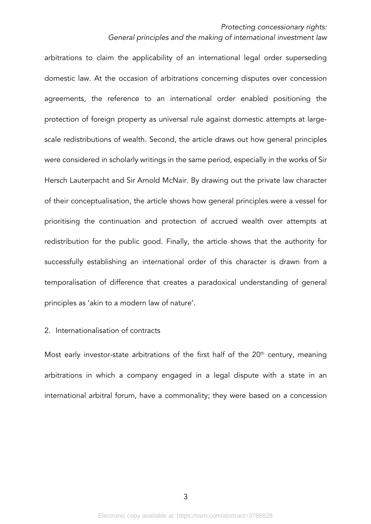#### *Protecting concessionary rights:*

#### *General principles and the making of international investment law*

arbitrations to claim the applicability of an international legal order superseding domestic law. At the occasion of arbitrations concerning disputes over concession agreements, the reference to an international order enabled positioning the protection of foreign property as universal rule against domestic attempts at largescale redistributions of wealth. Second, the article draws out how general principles were considered in scholarly writings in the same period, especially in the works of Sir Hersch Lauterpacht and Sir Arnold McNair. By drawing out the private law character of their conceptualisation, the article shows how general principles were a vessel for prioritising the continuation and protection of accrued wealth over attempts at redistribution for the public good. Finally, the article shows that the authority for successfully establishing an international order of this character is drawn from a temporalisation of difference that creates a paradoxical understanding of general principles as 'akin to a modern law of nature'.

# 2. Internationalisation of contracts

Most early investor-state arbitrations of the first half of the  $20<sup>th</sup>$  century, meaning arbitrations in which a company engaged in a legal dispute with a state in an international arbitral forum, have a commonality; they were based on a concession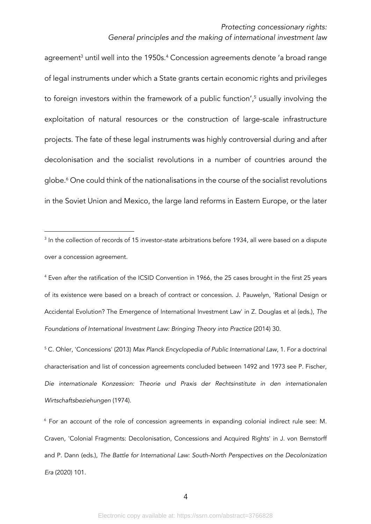#### *Protecting concessionary rights:*

#### *General principles and the making of international investment law*

agreement<sup>3</sup> until well into the 1950s.<sup>4</sup> Concession agreements denote 'a broad range of legal instruments under which a State grants certain economic rights and privileges to foreign investors within the framework of a public function',<sup>5</sup> usually involving the exploitation of natural resources or the construction of large-scale infrastructure projects. The fate of these legal instruments was highly controversial during and after decolonisation and the socialist revolutions in a number of countries around the globe.6 One could think of the nationalisations in the course of the socialist revolutions in the Soviet Union and Mexico, the large land reforms in Eastern Europe, or the later

<sup>&</sup>lt;sup>3</sup> In the collection of records of 15 investor-state arbitrations before 1934, all were based on a dispute over a concession agreement.

<sup>4</sup> Even after the ratification of the ICSID Convention in 1966, the 25 cases brought in the first 25 years of its existence were based on a breach of contract or concession. J. Pauwelyn, 'Rational Design or Accidental Evolution? The Emergence of International Investment Law' in Z. Douglas et al (eds.), *The Foundations of International Investment Law: Bringing Theory into Practice* (2014) 30.

<sup>5</sup> C. Ohler, 'Concessions' (2013) *Max Planck Encyclopedia of Public International Law*, 1. For a doctrinal characterisation and list of concession agreements concluded between 1492 and 1973 see P. Fischer, *Die internationale Konzession: Theorie und Praxis der Rechtsinstitute in den internationalen Wirtschaftsbeziehungen* (1974).

<sup>6</sup> For an account of the role of concession agreements in expanding colonial indirect rule see: M. Craven, 'Colonial Fragments: Decolonisation, Concessions and Acquired Rights' in J. von Bernstorff and P. Dann (eds.), *The Battle for International Law: South-North Perspectives on the Decolonization Era* (2020) 101.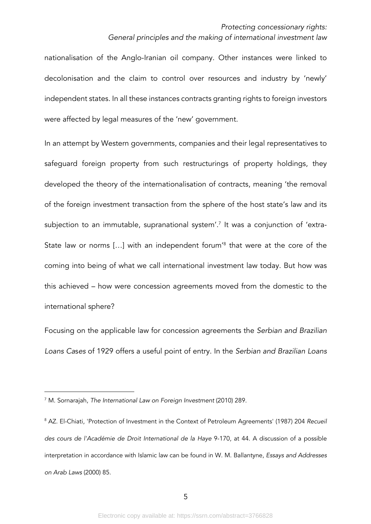nationalisation of the Anglo-Iranian oil company. Other instances were linked to decolonisation and the claim to control over resources and industry by 'newly' independent states. In all these instances contracts granting rights to foreign investors were affected by legal measures of the 'new' government.

In an attempt by Western governments, companies and their legal representatives to safeguard foreign property from such restructurings of property holdings, they developed the theory of the internationalisation of contracts, meaning 'the removal of the foreign investment transaction from the sphere of the host state's law and its subjection to an immutable, supranational system'.<sup>7</sup> It was a conjunction of 'extra-State law or norms [...] with an independent forum<sup>'8</sup> that were at the core of the coming into being of what we call international investment law today. But how was this achieved – how were concession agreements moved from the domestic to the international sphere?

Focusing on the applicable law for concession agreements the *Serbian and Brazilian Loans Ca*s*es* of 1929 offers a useful point of entry. In the *Serbian and Brazilian Loans* 

<sup>7</sup> M. Sornarajah, *The International Law on Foreign Investment* (2010) 289.

<sup>8</sup> AZ. El-Chiati, 'Protection of Investment in the Context of Petroleum Agreements' (1987) 204 *Recueil des cours de l'Académie de Droit International de la Haye* 9-170, at 44. A discussion of a possible interpretation in accordance with Islamic law can be found in W. M. Ballantyne, *Essays and Addresses on Arab Laws* (2000) 85.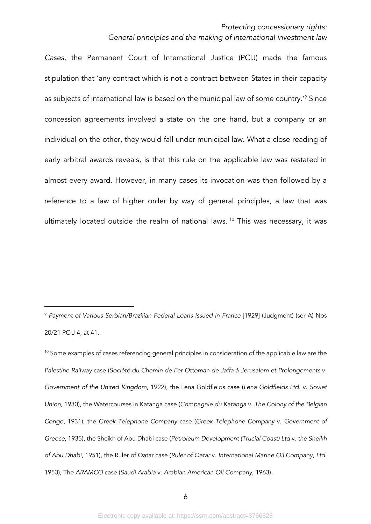*Cases*, the Permanent Court of International Justice (PCIJ) made the famous stipulation that 'any contract which is not a contract between States in their capacity as subjects of international law is based on the municipal law of some country.<sup>19</sup> Since concession agreements involved a state on the one hand, but a company or an individual on the other, they would fall under municipal law. What a close reading of early arbitral awards reveals, is that this rule on the applicable law was restated in almost every award. However, in many cases its invocation was then followed by a reference to a law of higher order by way of general principles, a law that was ultimately located outside the realm of national laws.  $10$  This was necessary, it was

<sup>9</sup> *Payment of Various Serbian/Brazilian Federal Loans Issued in France* [1929] (Judgment) (ser A) Nos 20/21 PCIJ 4, at 41.

<sup>&</sup>lt;sup>10</sup> Some examples of cases referencing general principles in consideration of the applicable law are the *Palestine Railway* case (*Société du Chemin de Fer Ottoman de Jaffa à Jerusalem et Prolongements* v. *Government of the United Kingdom*, 1922), the Lena Goldfields case (*Lena Goldfields Ltd.* v. *Soviet Union*, 1930), the Watercourses in Katanga case (*Compagnie du Katanga* v. *The Colony of the Belgian Congo*, 1931), the *Greek Telephone Company* case (*Greek Telephone Company* v. *Government of Greece*, 1935), the Sheikh of Abu Dhabi case (*Petroleum Development (Trucial Coast) Ltd* v. *the Sheikh of Abu Dhabi*, 1951), the Ruler of Qatar case (*Ruler of Qatar* v. *International Marine Oil Company, Ltd.* 1953), The *ARAMCO* case (*Saudi Arabia* v. *Arabian American Oil Company*, 1963).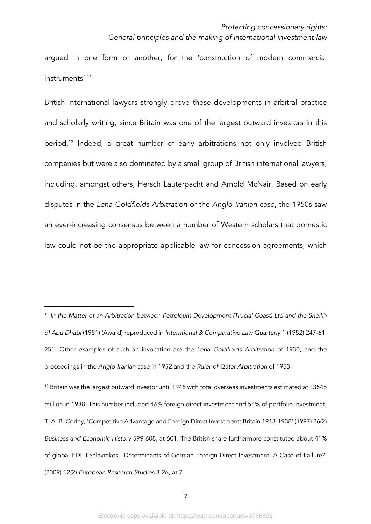argued in one form or another, for the 'construction of modern commercial instruments'. 11

British international lawyers strongly drove these developments in arbitral practice and scholarly writing, since Britain was one of the largest outward investors in this period.12 Indeed, a great number of early arbitrations not only involved British companies but were also dominated by a small group of British international lawyers, including, amongst others, Hersch Lauterpacht and Arnold McNair. Based on early disputes in the *Lena Goldfields Arbitration* or the *Anglo-Iranian case*, the 1950s saw an ever-increasing consensus between a number of Western scholars that domestic law could not be the appropriate applicable law for concession agreements, which

<sup>11</sup> *In the Matter of an Arbitration between Petroleum Development (Trucial Coast) Ltd and the Sheikh of Abu Dhabi* (1951) (Award) reproduced in *Interntional & Comparative Law Quarterly* 1 (1952) 247-61, 251. Other examples of such an invocation are the *Lena Goldfields Arbitration* of 1930, and the proceedings in the *Anglo-Iranian* case in 1952 and the *Ruler of Qatar Arbitration* of 1953.

 $12$  Britain was the largest outward investor until 1945 with total overseas investments estimated at  $f3545$ million in 1938. This number included 46% foreign direct investment and 54% of portfolio investment. T. A. B. Corley, 'Competitive Advantage and Foreign Direct Investment: Britain 1913-1938' (1997) 26(2) *Business and Economic History* 599-608, at 601. The British share furthermore constituted about 41% of global FDI. I.Salavrakos, 'Determinants of German Foreign Direct Investment: A Case of Failure?' (2009) 12(2) *European Research Studies* 3-26, at 7.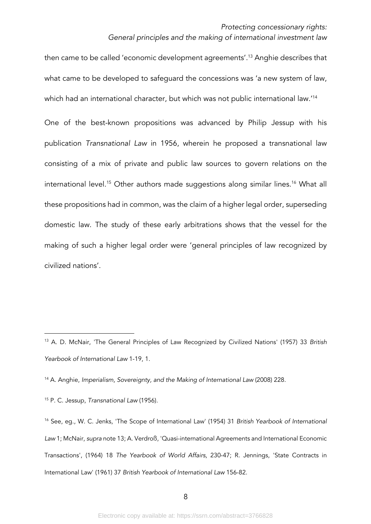then came to be called 'economic development agreements'.13 Anghie describes that what came to be developed to safeguard the concessions was 'a new system of law, which had an international character, but which was not public international law.' 14

One of the best-known propositions was advanced by Philip Jessup with his publication *Transnational Law* in 1956, wherein he proposed a transnational law consisting of a mix of private and public law sources to govern relations on the international level.<sup>15</sup> Other authors made suggestions along similar lines.<sup>16</sup> What all these propositions had in common, was the claim of a higher legal order, superseding domestic law. The study of these early arbitrations shows that the vessel for the making of such a higher legal order were 'general principles of law recognized by civilized nations'.

<sup>15</sup> P. C. Jessup, *Transnational Law* (1956).

<sup>13</sup> A. D. McNair, 'The General Principles of Law Recognized by Civilized Nations' (1957) 33 *British Yearbook of International Law* 1-19, 1.

<sup>14</sup> A. Anghie, *Imperialism, Sovereignty, and the Making of International Law* (2008) 228.

<sup>16</sup> See, eg., W. C. Jenks, 'The Scope of International Law' (1954) 31 *British Yearbook of International Law* 1; McNair, *supra* note 13; A. Verdroß, 'Quasi-international Agreements and International Economic Transactions', (1964) 18 *The Yearbook of World Affairs*, 230-47; R. Jennings, 'State Contracts in International Law' (1961) 37 *British Yearbook of International Law* 156-82.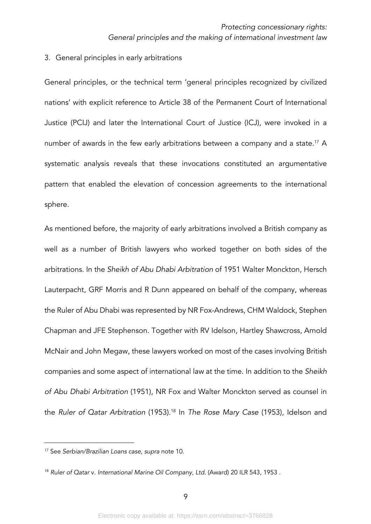# 3. General principles in early arbitrations

General principles, or the technical term 'general principles recognized by civilized nations' with explicit reference to Article 38 of the Permanent Court of International Justice (PCIJ) and later the International Court of Justice (ICJ), were invoked in a number of awards in the few early arbitrations between a company and a state.<sup>17</sup> A systematic analysis reveals that these invocations constituted an argumentative pattern that enabled the elevation of concession agreements to the international sphere.

As mentioned before, the majority of early arbitrations involved a British company as well as a number of British lawyers who worked together on both sides of the arbitrations. In the *Sheikh of Abu Dhabi Arbitration* of 1951 Walter Monckton, Hersch Lauterpacht, GRF Morris and R Dunn appeared on behalf of the company, whereas the Ruler of Abu Dhabi was represented by NR Fox-Andrews, CHM Waldock, Stephen Chapman and JFE Stephenson. Together with RV Idelson, Hartley Shawcross, Arnold McNair and John Megaw, these lawyers worked on most of the cases involving British companies and some aspect of international law at the time. In addition to the *Sheikh of Abu Dhabi Arbitration* (1951), NR Fox and Walter Monckton served as counsel in the *Ruler of Qatar Arbitration* (1953).18 In *The Rose Mary Case* (1953), Idelson and

<sup>17</sup> See *Serbian/Brazilian Loans case, supra* note 10.

<sup>18</sup> *Ruler of Qatar* v*. International Marine Oil Company, Ltd*. (Award) 20 ILR 543, 1953 .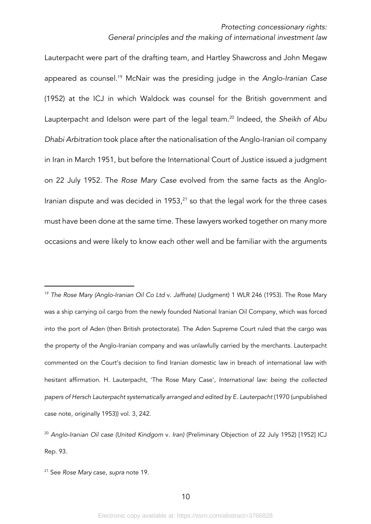Lauterpacht were part of the drafting team, and Hartley Shawcross and John Megaw appeared as counsel.19 McNair was the presiding judge in the *Anglo-Iranian Case* (1952) at the ICJ in which Waldock was counsel for the British government and Laupterpacht and Idelson were part of the legal team.20 Indeed, the *Sheikh of Abu Dhabi Arbitration* took place after the nationalisation of the Anglo-Iranian oil company in Iran in March 1951, but before the International Court of Justice issued a judgment on 22 July 1952. The *Rose Mary Case* evolved from the same facts as the Anglo-Iranian dispute and was decided in  $1953<sub>,21</sub>$  so that the legal work for the three cases must have been done at the same time. These lawyers worked together on many more occasions and were likely to know each other well and be familiar with the arguments

<sup>19</sup> *The Rose Mary (Anglo-Iranian Oil Co Ltd* v*. Jaffrate)* (Judgment) 1 WLR 246 (1953). The Rose Mary was a ship carrying oil cargo from the newly founded National Iranian Oil Company, which was forced into the port of Aden (then British protectorate). The Aden Supreme Court ruled that the cargo was the property of the Anglo-Iranian company and was unlawfully carried by the merchants. Lauterpacht commented on the Court's decision to find Iranian domestic law in breach of international law with hesitant affirmation. H. Lauterpacht, 'The Rose Mary Case', *International law: being the collected papers of Hersch Lauterpacht systematically arranged and edited by E. Lauterpacht* (1970 (unpublished case note, originally 1953)) vol. 3, 242.

<sup>20</sup> *Anglo-Iranian Oil case (United Kindgom* v. *Iran)* (Preliminary Objection of 22 July 1952) [1952] ICJ Rep. 93.

<sup>21</sup> See *Rose Mary* case*, supra* note 19.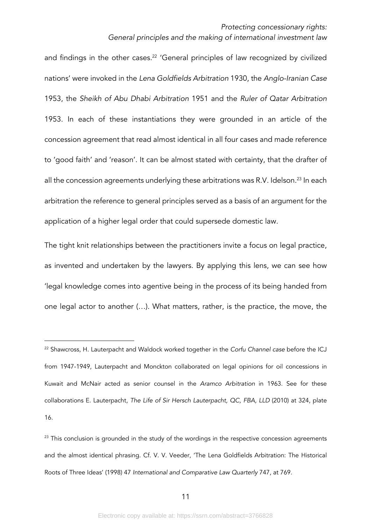and findings in the other cases.<sup>22</sup> 'General principles of law recognized by civilized nations' were invoked in the *Lena Goldfields Arbitration* 1930, the *Anglo-Iranian Case* 1953, the *Sheikh of Abu Dhabi Arbitration* 1951 and the *Ruler of Qatar Arbitration* 1953. In each of these instantiations they were grounded in an article of the concession agreement that read almost identical in all four cases and made reference to 'good faith' and 'reason'. It can be almost stated with certainty, that the drafter of all the concession agreements underlying these arbitrations was R.V. Idelson.<sup>23</sup> In each arbitration the reference to general principles served as a basis of an argument for the application of a higher legal order that could supersede domestic law.

The tight knit relationships between the practitioners invite a focus on legal practice, as invented and undertaken by the lawyers. By applying this lens, we can see how 'legal knowledge comes into agentive being in the process of its being handed from one legal actor to another (…). What matters, rather, is the practice, the move, the

<sup>22</sup> Shawcross, H. Lauterpacht and Waldock worked together in the *Corfu Channel case* before the ICJ from 1947-1949, Lauterpacht and Monckton collaborated on legal opinions for oil concessions in Kuwait and McNair acted as senior counsel in the *Aramco Arbitration* in 1963. See for these collaborations E. Lauterpacht, *The Life of Sir Hersch Lauterpacht, QC, FBA, LLD* (2010) at 324, plate 16.

 $23$  This conclusion is grounded in the study of the wordings in the respective concession agreements and the almost identical phrasing. Cf. V. V. Veeder, 'The Lena Goldfields Arbitration: The Historical Roots of Three Ideas' (1998) 47 *International and Comparative Law Quarterly* 747, at 769.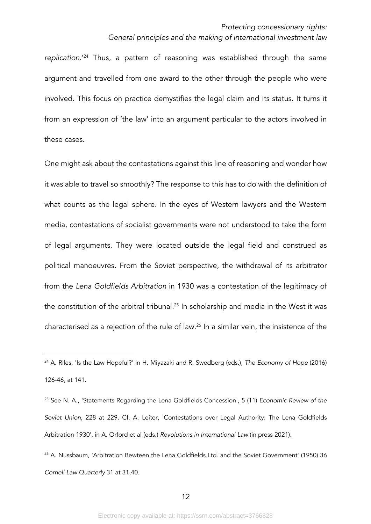*replication*.'24 Thus, a pattern of reasoning was established through the same argument and travelled from one award to the other through the people who were involved. This focus on practice demystifies the legal claim and its status. It turns it from an expression of 'the law' into an argument particular to the actors involved in these cases.

One might ask about the contestations against this line of reasoning and wonder how it was able to travel so smoothly? The response to this has to do with the definition of what counts as the legal sphere. In the eyes of Western lawyers and the Western media, contestations of socialist governments were not understood to take the form of legal arguments. They were located outside the legal field and construed as political manoeuvres. From the Soviet perspective, the withdrawal of its arbitrator from the *Lena Goldfields Arbitration* in 1930 was a contestation of the legitimacy of the constitution of the arbitral tribunal. <sup>25</sup> In scholarship and media in the West it was characterised as a rejection of the rule of law.26 In a similar vein, the insistence of the

<sup>24</sup> A. Riles, 'Is the Law Hopeful?' in H. Miyazaki and R. Swedberg (eds.), *The Economy of Hope* (2016) 126-46, at 141.

<sup>25</sup> See N. A., 'Statements Regarding the Lena Goldfields Concession', 5 (11) *Economic Review of the Soviet Union*, 228 at 229. Cf. A. Leiter, 'Contestations over Legal Authority: The Lena Goldfields Arbitration 1930', in A. Orford et al (eds.) *Revolutions in International Law* (in press 2021).

<sup>&</sup>lt;sup>26</sup> A. Nussbaum, 'Arbitration Bewteen the Lena Goldfields Ltd. and the Soviet Government' (1950) 36 *Cornell Law Quarterly* 31 at 31,40.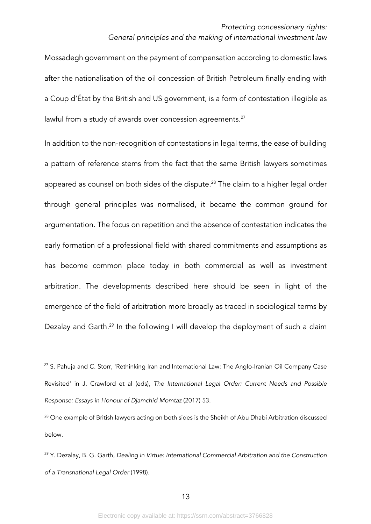Mossadegh government on the payment of compensation according to domestic laws after the nationalisation of the oil concession of British Petroleum finally ending with a Coup d'État by the British and US government, is a form of contestation illegible as lawful from a study of awards over concession agreements.<sup>27</sup>

In addition to the non-recognition of contestations in legal terms, the ease of building a pattern of reference stems from the fact that the same British lawyers sometimes appeared as counsel on both sides of the dispute. <sup>28</sup> The claim to a higher legal order through general principles was normalised, it became the common ground for argumentation. The focus on repetition and the absence of contestation indicates the early formation of a professional field with shared commitments and assumptions as has become common place today in both commercial as well as investment arbitration. The developments described here should be seen in light of the emergence of the field of arbitration more broadly as traced in sociological terms by Dezalay and Garth.<sup>29</sup> In the following I will develop the deployment of such a claim

<sup>&</sup>lt;sup>27</sup> S. Pahuja and C. Storr, 'Rethinking Iran and International Law: The Anglo-Iranian Oil Company Case Revisited' in J. Crawford et al (eds), *The International Legal Order: Current Needs and Possible Response: Essays in Honour of Djamchid Momtaz* (2017) 53.

<sup>&</sup>lt;sup>28</sup> One example of British lawyers acting on both sides is the Sheikh of Abu Dhabi Arbitration discussed below.

<sup>29</sup> Y. Dezalay, B. G. Garth, *Dealing in Virtue: International Commercial Arbitration and the Construction of a Transnational Legal Order* (1998).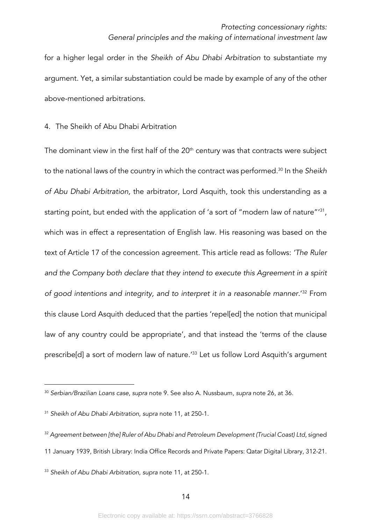for a higher legal order in the *Sheikh of Abu Dhabi Arbitration* to substantiate my argument. Yet, a similar substantiation could be made by example of any of the other above-mentioned arbitrations.

# 4. The Sheikh of Abu Dhabi Arbitration

The dominant view in the first half of the  $20<sup>th</sup>$  century was that contracts were subject to the national laws of the country in which the contract was performed.30 In the *Sheikh of Abu Dhabi Arbitration,* the arbitrator, Lord Asquith, took this understanding as a starting point, but ended with the application of 'a sort of "modern law of nature"<sup>31</sup>, which was in effect a representation of English law. His reasoning was based on the text of Article 17 of the concession agreement. This article read as follows: *'The Ruler and the Company both declare that they intend to execute this Agreement in a spirit of good intentions and integrity, and to interpret it in a reasonable manner.*' <sup>32</sup> From this clause Lord Asquith deduced that the parties 'repel[ed] the notion that municipal law of any country could be appropriate', and that instead the 'terms of the clause prescribe[d] a sort of modern law of nature.'33 Let us follow Lord Asquith's argument

<sup>33</sup> *Sheikh of Abu Dhabi Arbitration*, *supra* note 11, at 250-1.

<sup>30</sup> *Serbian/Brazilian Loans case*, *supra* note 9. See also A. Nussbaum, *supra* note 26, at 36.

<sup>31</sup> *Sheikh of Abu Dhabi Arbitration*, *supra* note 11, at 250-1.

<sup>32</sup> *Agreement between [the] Ruler of Abu Dhabi and Petroleum Development (Trucial Coast) Ltd*, signed 11 January 1939, British Library: India Office Records and Private Papers: Qatar Digital Library, 312-21.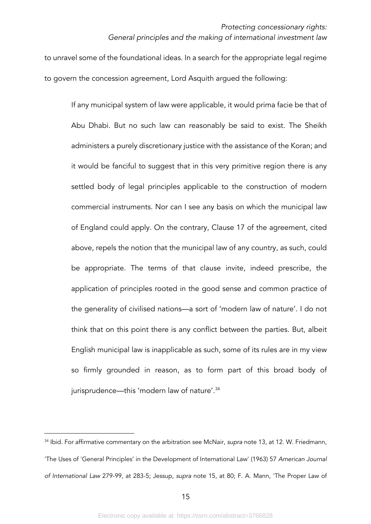to unravel some of the foundational ideas. In a search for the appropriate legal regime to govern the concession agreement, Lord Asquith argued the following:

If any municipal system of law were applicable, it would prima facie be that of Abu Dhabi. But no such law can reasonably be said to exist. The Sheikh administers a purely discretionary justice with the assistance of the Koran; and it would be fanciful to suggest that in this very primitive region there is any settled body of legal principles applicable to the construction of modern commercial instruments. Nor can I see any basis on which the municipal law of England could apply. On the contrary, Clause 17 of the agreement, cited above, repels the notion that the municipal law of any country, as such, could be appropriate. The terms of that clause invite, indeed prescribe, the application of principles rooted in the good sense and common practice of the generality of civilised nations—a sort of 'modern law of nature'. I do not think that on this point there is any conflict between the parties. But, albeit English municipal law is inapplicable as such, some of its rules are in my view so firmly grounded in reason, as to form part of this broad body of jurisprudence—this 'modern law of nature'.<sup>34</sup>

<sup>34</sup> Ibid. For affirmative commentary on the arbitration see McNair, *supra* note 13, at 12. W. Friedmann, 'The Uses of 'General Principles' in the Development of International Law' (1963) 57 *American Journal of International Law* 279-99, at 283-5; Jessup, *supra* note 15, at 80; F. A. Mann, 'The Proper Law of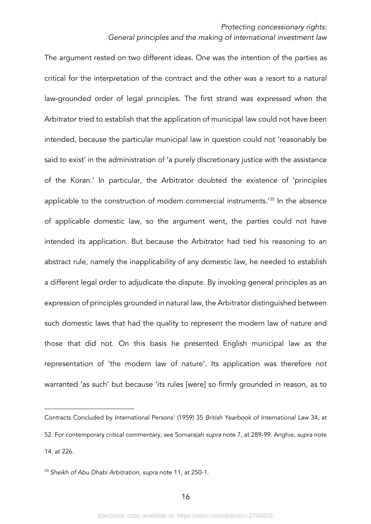The argument rested on two different ideas. One was the intention of the parties as critical for the interpretation of the contract and the other was a resort to a natural law-grounded order of legal principles. The first strand was expressed when the Arbitrator tried to establish that the application of municipal law could not have been intended, because the particular municipal law in question could not 'reasonably be said to exist' in the administration of 'a purely discretionary justice with the assistance of the Koran.' In particular, the Arbitrator doubted the existence of 'principles applicable to the construction of modern commercial instruments.'35 In the absence of applicable domestic law, so the argument went, the parties could not have intended its application. But because the Arbitrator had tied his reasoning to an abstract rule, namely the inapplicability of any domestic law, he needed to establish a different legal order to adjudicate the dispute. By invoking general principles as an expression of principles grounded in natural law, the Arbitrator distinguished between such domestic laws that had the quality to represent the modern law of nature and those that did not. On this basis he presented English municipal law as the representation of 'the modern law of nature'. Its application was therefore not warranted 'as such' but because 'its rules [were] so firmly grounded in reason, as to

Contracts Concluded by International Persons' (1959) 35 *British Yearbook of International Law* 34, at 52. For contemporary critical commentary, see Sornarajah *supra* note 7, at 289-99. Anghie, *supra* note 14, at 226.

<sup>35</sup> *Sheikh of Abu Dhabi Arbitration*, *supra* note 11, at 250-1.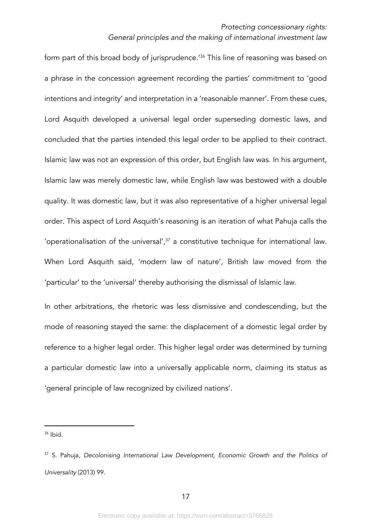form part of this broad body of jurisprudence.<sup>'36</sup> This line of reasoning was based on a phrase in the concession agreement recording the parties' commitment to 'good intentions and integrity' and interpretation in a 'reasonable manner'. From these cues, Lord Asquith developed a universal legal order superseding domestic laws, and concluded that the parties intended this legal order to be applied to their contract. Islamic law was not an expression of this order, but English law was. In his argument, Islamic law was merely domestic law, while English law was bestowed with a double quality. It was domestic law, but it was also representative of a higher universal legal order. This aspect of Lord Asquith's reasoning is an iteration of what Pahuja calls the 'operationalisation of the universal', $37$  a constitutive technique for international law. When Lord Asquith said, 'modern law of nature', British law moved from the 'particular' to the 'universal' thereby authorising the dismissal of Islamic law.

In other arbitrations, the rhetoric was less dismissive and condescending, but the mode of reasoning stayed the same: the displacement of a domestic legal order by reference to a higher legal order. This higher legal order was determined by turning a particular domestic law into a universally applicable norm, claiming its status as 'general principle of law recognized by civilized nations'.

 $36$  Ibid.

<sup>&</sup>lt;sup>37</sup> S. Pahuja, *Decolonising International Law Development*, *Economic Growth and the Politics of Universality* (2013) 99.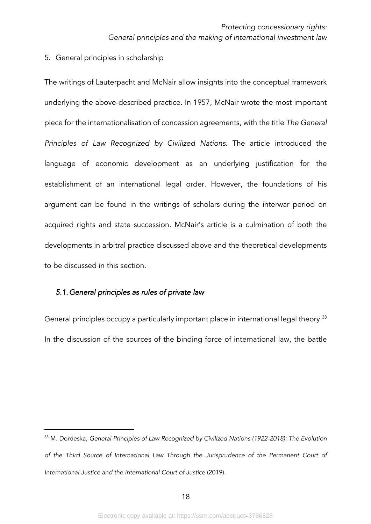5. General principles in scholarship

The writings of Lauterpacht and McNair allow insights into the conceptual framework underlying the above-described practice. In 1957, McNair wrote the most important piece for the internationalisation of concession agreements, with the title *The General Principles of Law Recognized by Civilized Nations*. The article introduced the language of economic development as an underlying justification for the establishment of an international legal order. However, the foundations of his argument can be found in the writings of scholars during the interwar period on acquired rights and state succession. McNair's article is a culmination of both the developments in arbitral practice discussed above and the theoretical developments to be discussed in this section.

#### *5.1.General principles as rules of private law*

General principles occupy a particularly important place in international legal theory.<sup>38</sup> In the discussion of the sources of the binding force of international law, the battle

<sup>38</sup> M. Dordeska, *General Principles of Law Recognized by Civilized Nations (1922-2018): The Evolution of the Third Source of International Law Through the Jurisprudence of the Permanent Court of International Justice and the International Court of Justic*e (2019).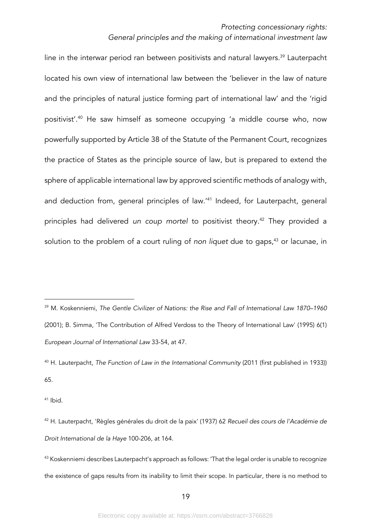line in the interwar period ran between positivists and natural lawyers.<sup>39</sup> Lauterpacht located his own view of international law between the 'believer in the law of nature and the principles of natural justice forming part of international law' and the 'rigid positivist'.40 He saw himself as someone occupying 'a middle course who, now powerfully supported by Article 38 of the Statute of the Permanent Court, recognizes the practice of States as the principle source of law, but is prepared to extend the sphere of applicable international law by approved scientific methods of analogy with, and deduction from, general principles of law.'41 Indeed, for Lauterpacht, general principles had delivered *un coup mortel* to positivist theory.42 They provided a solution to the problem of a court ruling of *non liquet* due to gaps,<sup>43</sup> or lacunae, in

 $41$  Ibid.

43 Koskenniemi describes Lauterpacht's approach as follows: 'That the legal order is unable to recognize the existence of gaps results from its inability to limit their scope. In particular, there is no method to

<sup>39</sup> M. Koskenniemi, *The Gentle Civilizer of Nations: the Rise and Fall of International Law 1870–1960* (2001); B. Simma, 'The Contribution of Alfred Verdoss to the Theory of International Law' (1995) 6(1) *European Journal of International Law* 33-54, at 47.

<sup>40</sup> H. Lauterpacht, *The Function of Law in the International Community* (2011 (first published in 1933)) 65.

<sup>42</sup> H. Lauterpacht, 'Règles générales du droit de la paix' (1937) 62 *Recueil des cours de l'Académie de Droit International de la Haye* 100-206, at 164.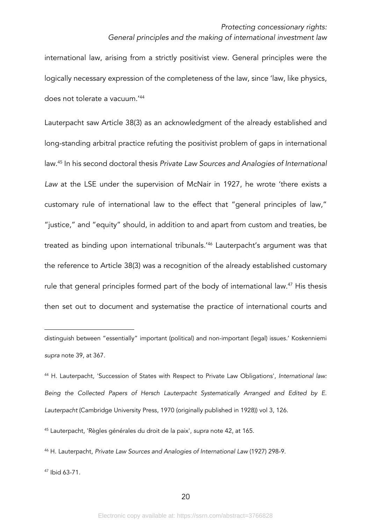international law, arising from a strictly positivist view. General principles were the logically necessary expression of the completeness of the law, since 'law, like physics, does not tolerate a vacuum.'44

Lauterpacht saw Article 38(3) as an acknowledgment of the already established and long-standing arbitral practice refuting the positivist problem of gaps in international law.45 In his second doctoral thesis *Private Law Sources and Analogies of International Law* at the LSE under the supervision of McNair in 1927, he wrote 'there exists a customary rule of international law to the effect that "general principles of law," "justice," and "equity" should, in addition to and apart from custom and treaties, be treated as binding upon international tribunals.'46 Lauterpacht's argument was that the reference to Article 38(3) was a recognition of the already established customary rule that general principles formed part of the body of international law.<sup>47</sup> His thesis then set out to document and systematise the practice of international courts and

<sup>46</sup> H. Lauterpacht, *Private Law Sources and Analogies of International Law* (1927) 298-9.

<sup>47</sup> Ibid 63-71.

distinguish between "essentially" important (political) and non-important (legal) issues.' Koskenniemi *supra* note 39, at 367.

<sup>44</sup> H. Lauterpacht, 'Succession of States with Respect to Private Law Obligations', *International law: Being the Collected Papers of Hersch Lauterpacht Systematically Arranged and Edited by E. Lauterpacht* (Cambridge University Press, 1970 (originally published in 1928)) vol 3, 126.

<sup>45</sup> Lauterpacht, 'Règles générales du droit de la paix', *supra* note 42, at 165.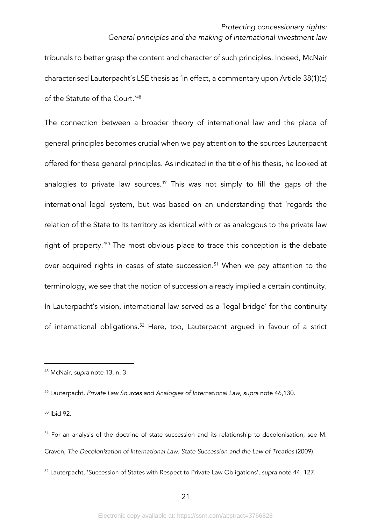tribunals to better grasp the content and character of such principles. Indeed, McNair characterised Lauterpacht's LSE thesis as 'in effect, a commentary upon Article 38(1)(c) of the Statute of the Court.'48

The connection between a broader theory of international law and the place of general principles becomes crucial when we pay attention to the sources Lauterpacht offered for these general principles. As indicated in the title of his thesis, he looked at analogies to private law sources.<sup>49</sup> This was not simply to fill the gaps of the international legal system, but was based on an understanding that 'regards the relation of the State to its territory as identical with or as analogous to the private law right of property.'50 The most obvious place to trace this conception is the debate over acquired rights in cases of state succession.<sup>51</sup> When we pay attention to the terminology, we see that the notion of succession already implied a certain continuity. In Lauterpacht's vision, international law served as a 'legal bridge' for the continuity of international obligations.52 Here, too, Lauterpacht argued in favour of a strict

<sup>50</sup> Ibid 92.

<sup>48</sup> McNair, *supra* note 13, n. 3.

<sup>49</sup> Lauterpacht, *Private Law Sources and Analogies of International Law*, *supra* note 46,130.

<sup>&</sup>lt;sup>51</sup> For an analysis of the doctrine of state succession and its relationship to decolonisation, see M. Craven, *The Decolonization of International Law: State Succession and the Law of Treaties* (2009).

<sup>52</sup> Lauterpacht, 'Succession of States with Respect to Private Law Obligations', *supra* note 44, 127.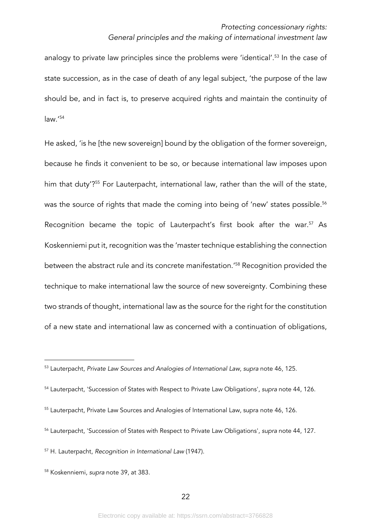analogy to private law principles since the problems were 'identical'.<sup>53</sup> In the case of state succession, as in the case of death of any legal subject, 'the purpose of the law should be, and in fact is, to preserve acquired rights and maintain the continuity of law.'54

He asked, 'is he [the new sovereign] bound by the obligation of the former sovereign, because he finds it convenient to be so, or because international law imposes upon him that duty<sup>'?55</sup> For Lauterpacht, international law, rather than the will of the state, was the source of rights that made the coming into being of 'new' states possible.<sup>56</sup> Recognition became the topic of Lauterpacht's first book after the war.<sup>57</sup> As Koskenniemi put it, recognition was the 'master technique establishing the connection between the abstract rule and its concrete manifestation.'58 Recognition provided the technique to make international law the source of new sovereignty. Combining these two strands of thought, international law as the source for the right for the constitution of a new state and international law as concerned with a continuation of obligations,

- <sup>55</sup> Lauterpacht, Private Law Sources and Analogies of International Law, supra note 46, 126.
- <sup>56</sup> Lauterpacht, 'Succession of States with Respect to Private Law Obligations', *supra* note 44, 127.

<sup>57</sup> H. Lauterpacht, *Recognition in International Law* (1947).

<sup>53</sup> Lauterpacht, *Private Law Sources and Analogies of International Law*, *supra* note 46, 125.

<sup>54</sup> Lauterpacht, 'Succession of States with Respect to Private Law Obligations', *supra* note 44, 126.

<sup>58</sup> Koskenniemi, *supra* note 39, at 383.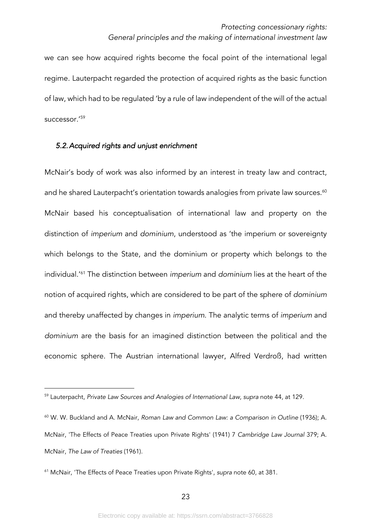we can see how acquired rights become the focal point of the international legal regime. Lauterpacht regarded the protection of acquired rights as the basic function of law, which had to be regulated 'by a rule of law independent of the will of the actual successor.'59

# *5.2.Acquired rights and unjust enrichment*

McNair's body of work was also informed by an interest in treaty law and contract, and he shared Lauterpacht's orientation towards analogies from private law sources.<sup>60</sup> McNair based his conceptualisation of international law and property on the distinction of *imperium* and *dominium*, understood as 'the imperium or sovereignty which belongs to the State, and the dominium or property which belongs to the individual.'61 The distinction between *imperium* and *dominium* lies at the heart of the notion of acquired rights, which are considered to be part of the sphere of *dominium* and thereby unaffected by changes in *imperium*. The analytic terms of *imperium* and *dominium* are the basis for an imagined distinction between the political and the economic sphere. The Austrian international lawyer, Alfred Verdroß, had written

<sup>59</sup> Lauterpacht, *Private Law Sources and Analogies of International Law*, *supra* note 44, at 129.

<sup>60</sup> W. W. Buckland and A. McNair, *Roman Law and Common Law: a Comparison in Outline* (1936); A. McNair, 'The Effects of Peace Treaties upon Private Rights' (1941) 7 *Cambridge Law Journal* 379; A. McNair, *The Law of Treaties* (1961).

<sup>61</sup> McNair, 'The Effects of Peace Treaties upon Private Rights', *supra* note 60, at 381.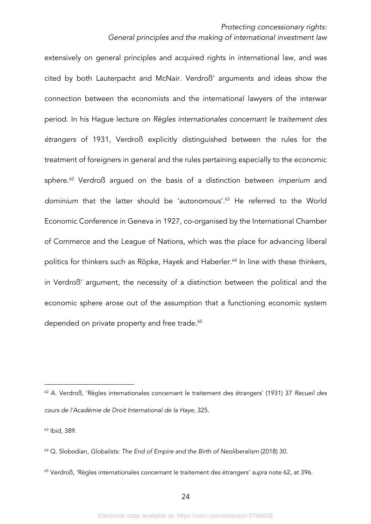extensively on general principles and acquired rights in international law, and was cited by both Lauterpacht and McNair. Verdroß' arguments and ideas show the connection between the economists and the international lawyers of the interwar period. In his Hague lecture on *Règles internationales concernant le traitement des étrangers* of 1931, Verdroß explicitly distinguished between the rules for the treatment of foreigners in general and the rules pertaining especially to the economic sphere.62 Verdroß argued on the basis of a distinction between *imperium* and *dominium* that the latter should be 'autonomous'.63 He referred to the World Economic Conference in Geneva in 1927, co-organised by the International Chamber of Commerce and the League of Nations, which was the place for advancing liberal politics for thinkers such as Röpke, Hayek and Haberler.<sup>64</sup> In line with these thinkers, in Verdroß' argument, the necessity of a distinction between the political and the economic sphere arose out of the assumption that a functioning economic system depended on private property and free trade.<sup>65</sup>

<sup>63</sup> Ibid, 389.

<sup>62</sup> A. Verdroß, 'Règles internationales concernant le traitement des étrangers' (1931) 37 *Recueil des cours de l'Académie de Droit International de la Haye*, 325.

<sup>64</sup> Q. Slobodian, *Globalists: The End of Empire and the Birth of Neoliberalism* (2018) 30.

<sup>65</sup> Verdroß, 'Règles internationales concernant le traitement des étrangers' *supra* note 62, at 396.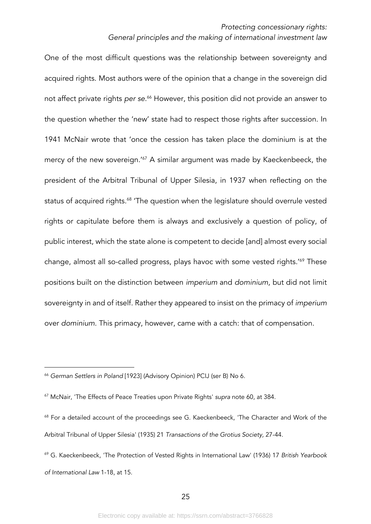One of the most difficult questions was the relationship between sovereignty and acquired rights. Most authors were of the opinion that a change in the sovereign did not affect private rights *per se*. <sup>66</sup> However, this position did not provide an answer to the question whether the 'new' state had to respect those rights after succession. In 1941 McNair wrote that 'once the cession has taken place the dominium is at the mercy of the new sovereign.<sup>'67</sup> A similar argument was made by Kaeckenbeeck, the president of the Arbitral Tribunal of Upper Silesia, in 1937 when reflecting on the status of acquired rights.<sup>68</sup> 'The question when the legislature should overrule vested rights or capitulate before them is always and exclusively a question of policy, of public interest, which the state alone is competent to decide [and] almost every social change, almost all so-called progress, plays havoc with some vested rights.'69 These positions built on the distinction between *imperium* and *dominium*, but did not limit sovereignty in and of itself. Rather they appeared to insist on the primacy of *imperium* over *dominium*. This primacy, however, came with a catch: that of compensation.

<sup>66</sup> *German Settlers in Poland* [1923] (Advisory Opinion) PCIJ (ser B) No 6.

<sup>67</sup> McNair, 'The Effects of Peace Treaties upon Private Rights' *supra* note 60, at 384.

<sup>&</sup>lt;sup>68</sup> For a detailed account of the proceedings see G. Kaeckenbeeck, 'The Character and Work of the Arbitral Tribunal of Upper Silesia' (1935) 21 *Transactions of the Grotius Society,* 27-44.

<sup>69</sup> G. Kaeckenbeeck, 'The Protection of Vested Rights in International Law' (1936) 17 *British Yearbook of International Law* 1-18, at 15.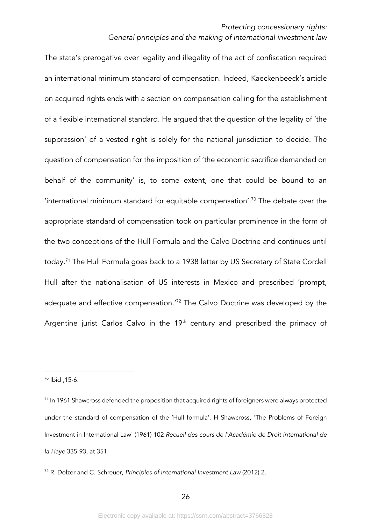The state's prerogative over legality and illegality of the act of confiscation required an international minimum standard of compensation. Indeed, Kaeckenbeeck's article on acquired rights ends with a section on compensation calling for the establishment of a flexible international standard. He argued that the question of the legality of 'the suppression' of a vested right is solely for the national jurisdiction to decide. The question of compensation for the imposition of 'the economic sacrifice demanded on behalf of the community' is, to some extent, one that could be bound to an  $'$ international minimum standard for equitable compensation $'$ .<sup>70</sup> The debate over the appropriate standard of compensation took on particular prominence in the form of the two conceptions of the Hull Formula and the Calvo Doctrine and continues until today.71 The Hull Formula goes back to a 1938 letter by US Secretary of State Cordell Hull after the nationalisation of US interests in Mexico and prescribed 'prompt, adequate and effective compensation.<sup>'72</sup> The Calvo Doctrine was developed by the Argentine jurist Carlos Calvo in the 19<sup>th</sup> century and prescribed the primacy of

<sup>70</sup> Ibid ,15-6.

<sup>&</sup>lt;sup>71</sup> In 1961 Shawcross defended the proposition that acquired rights of foreigners were always protected under the standard of compensation of the 'Hull formula'. H Shawcross, 'The Problems of Foreign Investment in International Law' (1961) 102 *Recueil des cours de l'Académie de Droit International de la Haye* 335-93, at 351.

<sup>72</sup> R. Dolzer and C. Schreuer, *Principles of International Investment Law* (2012) 2.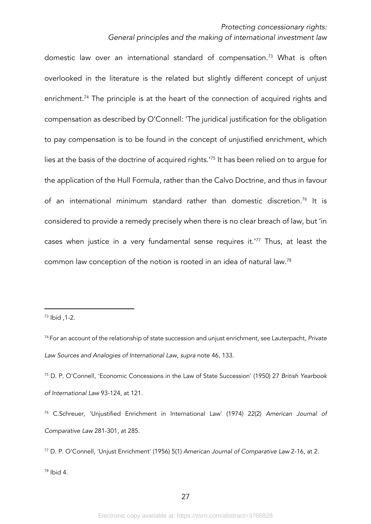domestic law over an international standard of compensation.<sup>73</sup> What is often overlooked in the literature is the related but slightly different concept of unjust enrichment.<sup>74</sup> The principle is at the heart of the connection of acquired rights and compensation as described by O'Connell: 'The juridical justification for the obligation to pay compensation is to be found in the concept of unjustified enrichment, which lies at the basis of the doctrine of acquired rights.'75 It has been relied on to argue for the application of the Hull Formula, rather than the Calvo Doctrine, and thus in favour of an international minimum standard rather than domestic discretion.<sup>76</sup> It is considered to provide a remedy precisely when there is no clear breach of law, but 'in cases when justice in a very fundamental sense requires it.'77 Thus, at least the common law conception of the notion is rooted in an idea of natural law.78

<sup>73</sup> Ibid ,1-2.

<sup>74</sup> For an account of the relationship of state succession and unjust enrichment, see Lauterpacht, *Private Law Sources and Analogies of International Law, supra* note 46, 133.

<sup>75</sup> D. P. O'Connell, 'Economic Concessions in the Law of State Succession' (1950) 27 *British Yearbook of International Law* 93-124, at 121.

<sup>76</sup> C.Schreuer, 'Unjustified Enrichment in International Law' (1974) 22(2) *American Journal of Comparative Law* 281-301, at 285.

<sup>77</sup> D. P. O'Connell, 'Unjust Enrichment' (1956) 5(1) *American Journal of Comparative Law* 2-16, at 2.

<sup>78</sup> Ibid 4.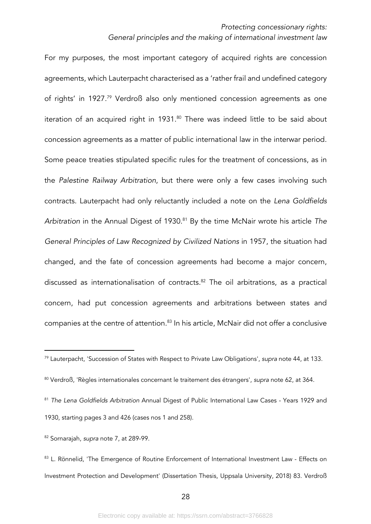For my purposes, the most important category of acquired rights are concession agreements, which Lauterpacht characterised as a 'rather frail and undefined category of rights' in 1927.79 Verdroß also only mentioned concession agreements as one iteration of an acquired right in 1931.<sup>80</sup> There was indeed little to be said about concession agreements as a matter of public international law in the interwar period. Some peace treaties stipulated specific rules for the treatment of concessions, as in the *Palestine Railway Arbitration*, but there were only a few cases involving such contracts. Lauterpacht had only reluctantly included a note on the *Lena Goldfields Arbitration* in the Annual Digest of 1930.81 By the time McNair wrote his article *The General Principles of Law Recognized by Civilized Nations* in 1957, the situation had changed, and the fate of concession agreements had become a major concern, discussed as internationalisation of contracts.<sup>82</sup> The oil arbitrations, as a practical concern, had put concession agreements and arbitrations between states and companies at the centre of attention.<sup>83</sup> In his article, McNair did not offer a conclusive

<sup>79</sup> Lauterpacht, 'Succession of States with Respect to Private Law Obligations', *supra* note 44, at 133.

<sup>80</sup> Verdroß, 'Règles internationales concernant le traitement des étrangers', *supra* note 62, at 364.

<sup>81</sup> *The Lena Goldfields Arbitration* Annual Digest of Public International Law Cases - Years 1929 and 1930, starting pages 3 and 426 (cases nos 1 and 258).

<sup>82</sup> Sornarajah, *supra* note 7, at 289-99.

<sup>83</sup> L. Rönnelid, 'The Emergence of Routine Enforcement of International Investment Law - Effects on Investment Protection and Development' (Dissertation Thesis, Uppsala University, 2018) 83. Verdroß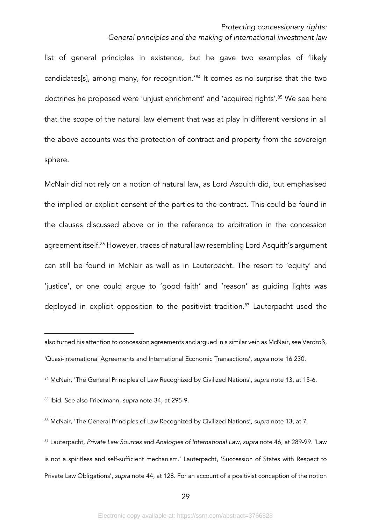list of general principles in existence, but he gave two examples of 'likely candidates[s], among many, for recognition.'84 It comes as no surprise that the two doctrines he proposed were 'unjust enrichment' and 'acquired rights'.<sup>85</sup> We see here that the scope of the natural law element that was at play in different versions in all the above accounts was the protection of contract and property from the sovereign sphere.

McNair did not rely on a notion of natural law, as Lord Asquith did, but emphasised the implied or explicit consent of the parties to the contract. This could be found in the clauses discussed above or in the reference to arbitration in the concession agreement itself.<sup>86</sup> However, traces of natural law resembling Lord Asquith's argument can still be found in McNair as well as in Lauterpacht. The resort to 'equity' and 'justice', or one could argue to 'good faith' and 'reason' as guiding lights was deployed in explicit opposition to the positivist tradition.<sup>87</sup> Lauterpacht used the

also turned his attention to concession agreements and argued in a similar vein as McNair, see Verdroß, 'Quasi-international Agreements and International Economic Transactions', *supra* note 16 230.

<sup>84</sup> McNair, 'The General Principles of Law Recognized by Civilized Nations', *supra* note 13, at 15-6.

<sup>85</sup> Ibid. See also Friedmann, *supra* note 34, at 295-9.

<sup>86</sup> McNair, 'The General Principles of Law Recognized by Civilized Nations', *supra* note 13, at 7.

<sup>87</sup> Lauterpacht, *Private Law Sources and Analogies of International Law*, *supra* note 46, at 289-99. 'Law is not a spiritless and self-sufficient mechanism.' Lauterpacht, 'Succession of States with Respect to Private Law Obligations', *supra* note 44, at 128. For an account of a positivist conception of the notion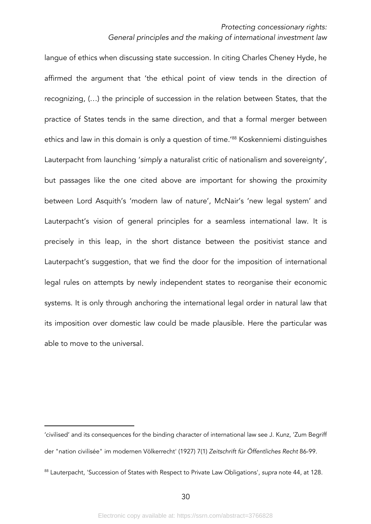langue of ethics when discussing state succession. In citing Charles Cheney Hyde, he affirmed the argument that 'the ethical point of view tends in the direction of recognizing, (…) the principle of succession in the relation between States, that the practice of States tends in the same direction, and that a formal merger between ethics and law in this domain is only a question of time.<sup>'88</sup> Koskenniemi distinguishes Lauterpacht from launching '*simply* a naturalist critic of nationalism and sovereignty', but passages like the one cited above are important for showing the proximity between Lord Asquith's 'modern law of nature', McNair's 'new legal system' and Lauterpacht's vision of general principles for a seamless international law. It is precisely in this leap, in the short distance between the positivist stance and Lauterpacht's suggestion, that we find the door for the imposition of international legal rules on attempts by newly independent states to reorganise their economic systems. It is only through anchoring the international legal order in natural law that its imposition over domestic law could be made plausible. Here the particular was able to move to the universal.

<sup>&#</sup>x27;civilised' and its consequences for the binding character of international law see J. Kunz, 'Zum Begriff der "nation civilisée" im modernen Völkerrecht' (1927) 7(1) *Zeitschrift für Öffentliches Recht* 86-99.

<sup>88</sup> Lauterpacht, 'Succession of States with Respect to Private Law Obligations', *supra* note 44, at 128.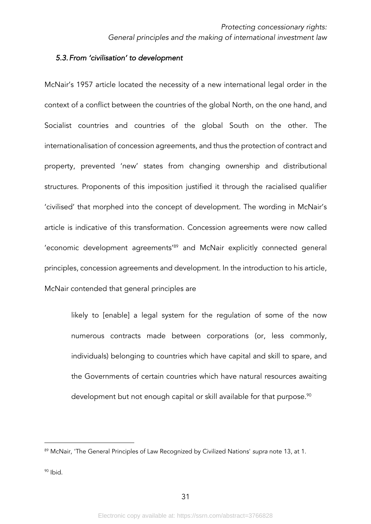# *5.3.From 'civilisation' to development*

McNair's 1957 article located the necessity of a new international legal order in the context of a conflict between the countries of the global North, on the one hand, and Socialist countries and countries of the global South on the other. The internationalisation of concession agreements, and thus the protection of contract and property, prevented 'new' states from changing ownership and distributional structures. Proponents of this imposition justified it through the racialised qualifier 'civilised' that morphed into the concept of development. The wording in McNair's article is indicative of this transformation. Concession agreements were now called 'economic development agreements<sup>'89</sup> and McNair explicitly connected general principles, concession agreements and development. In the introduction to his article, McNair contended that general principles are

likely to [enable] a legal system for the regulation of some of the now numerous contracts made between corporations (or, less commonly, individuals) belonging to countries which have capital and skill to spare, and the Governments of certain countries which have natural resources awaiting development but not enough capital or skill available for that purpose.<sup>90</sup>

<sup>89</sup> McNair, 'The General Principles of Law Recognized by Civilized Nations' *supra* note 13, at 1.

 $90$  Ibid.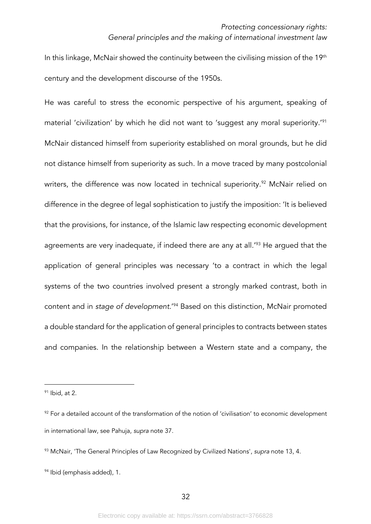In this linkage, McNair showed the continuity between the civilising mission of the 19<sup>th</sup> century and the development discourse of the 1950s.

He was careful to stress the economic perspective of his argument, speaking of material 'civilization' by which he did not want to 'suggest any moral superiority.'91 McNair distanced himself from superiority established on moral grounds, but he did not distance himself from superiority as such. In a move traced by many postcolonial writers, the difference was now located in technical superiority.<sup>92</sup> McNair relied on difference in the degree of legal sophistication to justify the imposition: 'It is believed that the provisions, for instance, of the Islamic law respecting economic development agreements are very inadequate, if indeed there are any at all.<sup>'93</sup> He argued that the application of general principles was necessary 'to a contract in which the legal systems of the two countries involved present a strongly marked contrast, both in content and in *stage of development.*' <sup>94</sup> Based on this distinction, McNair promoted a double standard for the application of general principles to contracts between states and companies. In the relationship between a Western state and a company, the

 $91$  Ibid, at 2.

<sup>&</sup>lt;sup>92</sup> For a detailed account of the transformation of the notion of 'civilisation' to economic development in international law, see Pahuja, *supra* note 37.

<sup>93</sup> McNair, 'The General Principles of Law Recognized by Civilized Nations', *supra* note 13, 4.

<sup>&</sup>lt;sup>94</sup> Ibid (emphasis added), 1.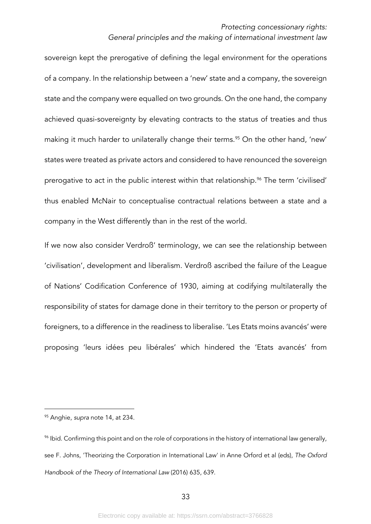sovereign kept the prerogative of defining the legal environment for the operations of a company. In the relationship between a 'new' state and a company, the sovereign state and the company were equalled on two grounds. On the one hand, the company achieved quasi-sovereignty by elevating contracts to the status of treaties and thus making it much harder to unilaterally change their terms.<sup>95</sup> On the other hand, 'new' states were treated as private actors and considered to have renounced the sovereign prerogative to act in the public interest within that relationship.<sup>96</sup> The term 'civilised' thus enabled McNair to conceptualise contractual relations between a state and a company in the West differently than in the rest of the world.

If we now also consider Verdroß' terminology, we can see the relationship between 'civilisation', development and liberalism. Verdroß ascribed the failure of the League of Nations' Codification Conference of 1930, aiming at codifying multilaterally the responsibility of states for damage done in their territory to the person or property of foreigners, to a difference in the readiness to liberalise. 'Les Etats moins avancés' were proposing 'leurs idées peu libérales' which hindered the 'Etats avancés' from

<sup>95</sup> Anghie, *supra* note 14, at 234.

<sup>96</sup> Ibid. Confirming this point and on the role of corporations in the history of international law generally, see F. Johns, 'Theorizing the Corporation in International Law' in Anne Orford et al (eds), *The Oxford Handbook of the Theory of International Law* (2016) 635, 639.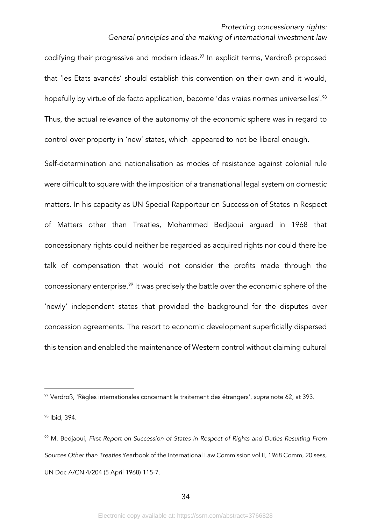codifying their progressive and modern ideas.<sup>97</sup> In explicit terms, Verdroß proposed that 'les Etats avancés' should establish this convention on their own and it would, hopefully by virtue of de facto application, become 'des vraies normes universelles'.<sup>98</sup> Thus, the actual relevance of the autonomy of the economic sphere was in regard to control over property in 'new' states, which appeared to not be liberal enough.

Self-determination and nationalisation as modes of resistance against colonial rule were difficult to square with the imposition of a transnational legal system on domestic matters. In his capacity as UN Special Rapporteur on Succession of States in Respect of Matters other than Treaties, Mohammed Bedjaoui argued in 1968 that concessionary rights could neither be regarded as acquired rights nor could there be talk of compensation that would not consider the profits made through the concessionary enterprise.<sup>99</sup> It was precisely the battle over the economic sphere of the 'newly' independent states that provided the background for the disputes over concession agreements. The resort to economic development superficially dispersed this tension and enabled the maintenance of Western control without claiming cultural

<sup>97</sup> Verdroß, 'Règles internationales concernant le traitement des étrangers', *supra* note 62, at 393.

<sup>98</sup> Ibid, 394.

<sup>99</sup> M. Bedjaoui, *First Report on Succession of States in Respect of Rights and Duties Resulting From Sources Other than Treaties* Yearbook of the International Law Commission vol II, 1968 Comm, 20 sess, UN Doc A/CN.4/204 (5 April 1968) 115-7.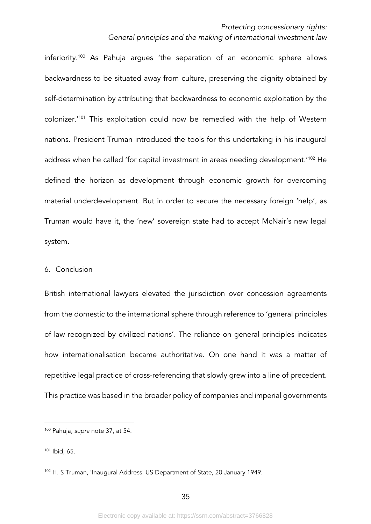inferiority.100 As Pahuja argues 'the separation of an economic sphere allows backwardness to be situated away from culture, preserving the dignity obtained by self-determination by attributing that backwardness to economic exploitation by the colonizer.'101 This exploitation could now be remedied with the help of Western nations. President Truman introduced the tools for this undertaking in his inaugural address when he called 'for capital investment in areas needing development.'102 He defined the horizon as development through economic growth for overcoming material underdevelopment. But in order to secure the necessary foreign 'help', as Truman would have it, the 'new' sovereign state had to accept McNair's new legal system.

#### 6. Conclusion

British international lawyers elevated the jurisdiction over concession agreements from the domestic to the international sphere through reference to 'general principles of law recognized by civilized nations'. The reliance on general principles indicates how internationalisation became authoritative. On one hand it was a matter of repetitive legal practice of cross-referencing that slowly grew into a line of precedent. This practice was based in the broader policy of companies and imperial governments

<sup>100</sup> Pahuja, *supra* note 37, at 54.

<sup>101</sup> Ibid, 65.

<sup>102</sup> H. S Truman, 'Inaugural Address' US Department of State, 20 January 1949.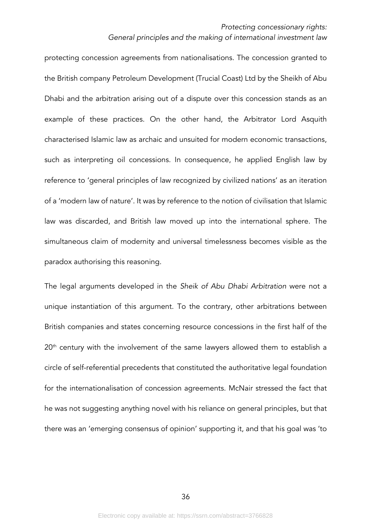#### *Protecting concessionary rights:*

#### *General principles and the making of international investment law*

protecting concession agreements from nationalisations. The concession granted to the British company Petroleum Development (Trucial Coast) Ltd by the Sheikh of Abu Dhabi and the arbitration arising out of a dispute over this concession stands as an example of these practices. On the other hand, the Arbitrator Lord Asquith characterised Islamic law as archaic and unsuited for modern economic transactions, such as interpreting oil concessions. In consequence, he applied English law by reference to 'general principles of law recognized by civilized nations' as an iteration of a 'modern law of nature'. It was by reference to the notion of civilisation that Islamic law was discarded, and British law moved up into the international sphere. The simultaneous claim of modernity and universal timelessness becomes visible as the paradox authorising this reasoning.

The legal arguments developed in the *Sheik of Abu Dhabi Arbitration* were not a unique instantiation of this argument. To the contrary, other arbitrations between British companies and states concerning resource concessions in the first half of the 20<sup>th</sup> century with the involvement of the same lawyers allowed them to establish a circle of self-referential precedents that constituted the authoritative legal foundation for the internationalisation of concession agreements. McNair stressed the fact that he was not suggesting anything novel with his reliance on general principles, but that there was an 'emerging consensus of opinion' supporting it, and that his goal was 'to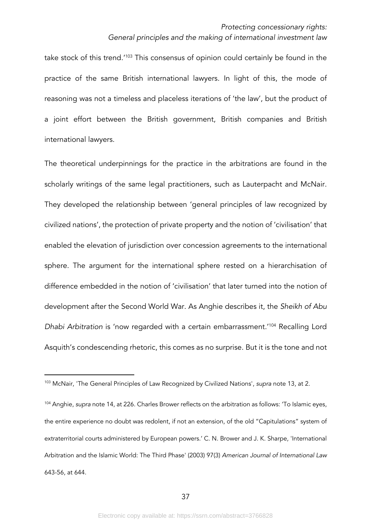take stock of this trend.'103 This consensus of opinion could certainly be found in the practice of the same British international lawyers. In light of this, the mode of reasoning was not a timeless and placeless iterations of 'the law', but the product of a joint effort between the British government, British companies and British international lawyers.

The theoretical underpinnings for the practice in the arbitrations are found in the scholarly writings of the same legal practitioners, such as Lauterpacht and McNair. They developed the relationship between 'general principles of law recognized by civilized nations', the protection of private property and the notion of 'civilisation' that enabled the elevation of jurisdiction over concession agreements to the international sphere. The argument for the international sphere rested on a hierarchisation of difference embedded in the notion of 'civilisation' that later turned into the notion of development after the Second World War. As Anghie describes it, the *Sheikh of Abu Dhabi Arbitration* is 'now regarded with a certain embarrassment.'104 Recalling Lord Asquith's condescending rhetoric, this comes as no surprise. But it is the tone and not

<sup>103</sup> McNair, 'The General Principles of Law Recognized by Civilized Nations', *supra* note 13, at 2.

<sup>104</sup> Anghie, *supra* note 14, at 226. Charles Brower reflects on the arbitration as follows: 'To Islamic eyes, the entire experience no doubt was redolent, if not an extension, of the old "Capitulations" system of extraterritorial courts administered by European powers.' C. N. Brower and J. K. Sharpe, 'International Arbitration and the Islamic World: The Third Phase' (2003) 97(3) *American Journal of International Law* 643-56, at 644.